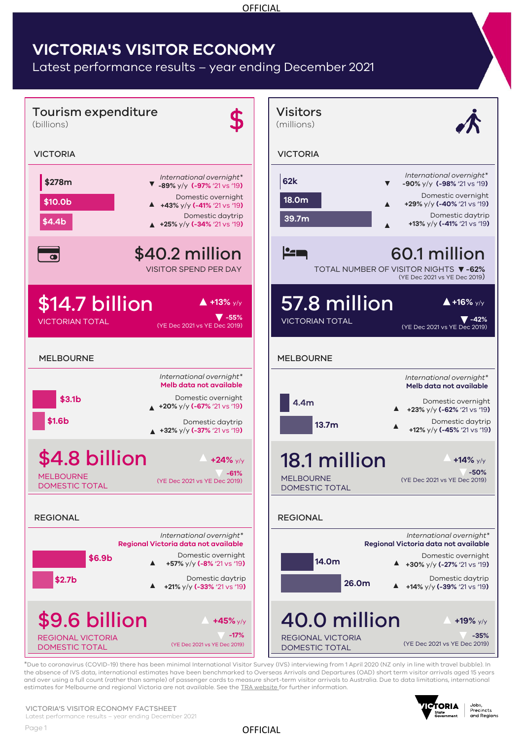#### **OFFICIAL**

# **VICTORIA'S VISITOR ECONOMY**

Latest performance results – year ending December 2021



\*Due to coronavirus (COVID-19) there has been minimal International Visitor Survey (IVS) interviewing from 1 April 2020 (NZ only in line with travel bubble). In the absence of IVS data, international estimates have been benchmarked to Overseas Arrivals and Departures (OAD) short term visitor arrivals aged 15 years and over using a full count (rather than sample) of passenger cards to measure short-term visitor arrivals to Australia. Due to data limitations, international estimates for Melbourne and regional Victoria are not available. See the [TRA website f](https://www.tra.gov.au/International/ivs-methodology)or further information.



Jobs,<br>Precincts<br>and Regions

#### VICTORIA'S VISITOR ECONOMY FACTSHEET

Latest performance results – year ending December 2021

OFFICIAL